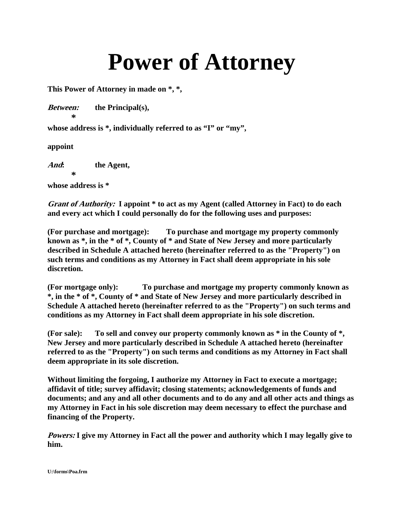## **Power of Attorney**

**This Power of Attorney in made on \*, \*,** 

**Between: the Principal(s),** 

**whose address is \*, individually referred to as "I" or "my",** 

**appoint** 

 **\***

**And: the Agent,** 

 **\* whose address is \*** 

**Grant of Authority: I appoint \* to act as my Agent (called Attorney in Fact) to do each and every act which I could personally do for the following uses and purposes:** 

**(For purchase and mortgage): To purchase and mortgage my property commonly known as \*, in the \* of \*, County of \* and State of New Jersey and more particularly described in Schedule A attached hereto (hereinafter referred to as the "Property") on such terms and conditions as my Attorney in Fact shall deem appropriate in his sole discretion.** 

**(For mortgage only): To purchase and mortgage my property commonly known as \*, in the \* of \*, County of \* and State of New Jersey and more particularly described in Schedule A attached hereto (hereinafter referred to as the "Property") on such terms and conditions as my Attorney in Fact shall deem appropriate in his sole discretion.** 

**(For sale): To sell and convey our property commonly known as \* in the County of \*, New Jersey and more particularly described in Schedule A attached hereto (hereinafter referred to as the "Property") on such terms and conditions as my Attorney in Fact shall deem appropriate in its sole discretion.** 

**Without limiting the forgoing, I authorize my Attorney in Fact to execute a mortgage; affidavit of title; survey affidavit; closing statements; acknowledgements of funds and documents; and any and all other documents and to do any and all other acts and things as my Attorney in Fact in his sole discretion may deem necessary to effect the purchase and financing of the Property.** 

**Powers: I give my Attorney in Fact all the power and authority which I may legally give to him.** 

**U:\forms\Poa.frm**